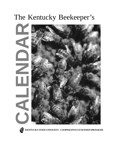## The Kentucky Beekeeper's



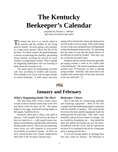## **The Kentucky Beekeeper's Calendar**

*prepared by Thomas C. Webster Apiculture Extension Specialist*

The honey bee hive is as closely tuned to<br>the seasons and the weather as any living plant or animal. An early spring, a dry summer, or a long winter greatly affects the life of the bee hive. For these reasons, the good beekeeper is always scrutinizing the calendar, speculating about rainfall, awaiting the arrival of warm weather, or preparing for winter. This is a guide for beginning beekeepers who are learning to think about the seasonal cycle.

The times given for beekeeping activities will vary, according to weather and location. This calendar is for a year with average weather in central Kentucky. A mild winter and early spring will accelerate bee colony development by several weeks or even a month. If the winter drags on into a cold, rainy spring the bees will lag behind in their development and activities. It's interesting that the times of year that the plants bloom are not affected as much by weather. They may vary by a week but not much more.

Southern and far western Kentucky generally get spring weather a week or two earlier than central Kentucky. The eastern mountains and the northern part of Kentucky are later in getting spring weather. Similarly, fall comes late to the southern and western parts of the state, and early to the east and north. ❏



### **January and February**

#### **What's Happening Inside The Hive?**

The bees keep their winter cluster intact, except on the occasional sunny days in the 50's and above when the bees can fly. The queen begins to lay eggs, and brood rearing begins in the largest, healthiest hives.

Kentucky often gets a sharp cold spell in January. Cold weather will not hurt the bees if they are ready for it — with a good cluster size, plenty of stored honey, and the mites and nosema disease under control. This is not too surprising, since hives are well adapted to overwinter successfully in northern Canada. At KSU we have measured bee hive cluster temperatures above 80° or 90° on snowy January days.

#### **Beekeeper Chores**

This is the time for constructing, painting, and repairing equipment. Most of the new catalogs from the beekeeping supply companies will be available in January. Your goal should be to have the bees and the equipment ready for making honey by mid-April. Old, dark comb should be removed from frames in storage. Do not install the foundation yet — that should be done just before the frames go into the hives. Foundation will dry, crack, and be rejected by the bees if it is exposed to the air for a long time prior to going into the hive.

If you are buying queens or package bees this year, order by January. By February or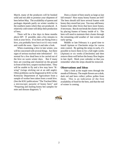March, many of the producers will be booked solid and not able to promise your shipment of bees before May. The availability of queens and packages depends partly on winter weather in the southern states where they are produced. A relatively cold winter will delay their production of bees.

There will be a few days in these months above 60<sup>o</sup>. If possible, take a few minutes to look at your hives. If no bees are flying from a hive, you probably have lost it or it's very weak and could die soon. Open it and take a look.

When examining a hive in late winter, you will be concerned with several things. Are there signs of serious tracheal mite infestation? It's normal for a few dead bees to be carried out of the hive on warm winter days. But if many bees are crawling and clustered on the ground in front of the hive, suspect tracheal mites. They will be unable to fly and a few may have "Kwing" (wings sticking out at an odd angle). Often problems can be diagnosed at KSU or the Kentucky Department of Agriculture from a sample of worker bees taken from a weak hive. (See the KSU publications "The Tracheal Mite: a microscopic parasite of honey bees" and "Preparing and mailing honey bee samples for mite and disease diagnosis.")

Does a cluster of bees nearly as large as last fall remain? How many honey frames are left? The bees should still have several frames with honey they stored last year. You may add honey frames from other hives that have more honey, if necessary. But do not break the cluster of bees by placing frames of honey inside of it. The bees will need to maintain their cluster through the remaining cold weather of late winter and early spring.

Middle or late February is a good time to install Apistan or Checkmite strips for varroa mite control. By getting the strips in early, it's possible to leave them in for a full eight weeks (Apistan) or six weeks (Checkmite) and then remove them well before the honey flow begins in late April. Mark your calendar so that you remember when the strips should be removed.

#### **Observations and Ideas**

Take a look at the maple trees through the month of February. The maple flowers are a drab, dark red and bees collect yellow pollen from them. This is an indication of the first availability of food for the bees, and that the end of winter is coming.

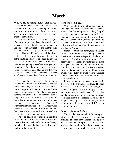## **March**

#### **What's Happening Inside The Hive?**

March is a critical time for the bees. The bees will thrive or suffer depending on weather and your management. Tracheal mites, starvation, and nosema disease are the main enemies at this time.

The bees are starting to rear more brood, but it's an erratic process. Dandelions and henbit appear as significant pollen and nectar sources. For a few warm days the bees bring in the pollen and feed larvae. The queen increases her egg laying. Then a cold spell hits, and the cluster contracts. Often some of the brood is left outside of the cluster and starves. The bees destroy this dead brood. Brood in the center of the cluster matures, and young worker bees emerge to join the colony. Then the weather warms up again, the queen resumes her egg laying, and this cycle continues. Gradually, young worker bees replace all of the old "winter" bees that were reared last year.

The bees have consumed a lot of honey through the winter but have not had a chance to make new honey, so stores are low. Brood rearing requires the bees to consume honey rapidly for two reasons : First, the hungry larvae demand a lot of food. Second, the brood cluster temperature must be raised to above 90o. To reach that higher temperature, the worker bees eat honey and generate more heat by "shivering" with their flight muscles. This is why starvation in March is a real danger. If you find a ball of dead bees in the comb, each with its head in a cell, that's a sure sign of starvation.

The long period of confinement can take its toll in the buildup of tracheal mites and nosema disease. Both tend to increase through the winter because the bees are confined and unable to fly frequently.

#### **Beekeeper Chores**

Vegetable shortening patties and menthol should go into the hive as treatments for tracheal mites. The shortening is particularly helpful because it works better than menthol in cool weather. If you use Apicure (formic acid) gel packs for varroa control, this is a good time to put them in the hives. Apistan or Checkmite strips should be installed if they were not installed in February.

If the bees are low on honey, feed with sugar syrup. This will boost brood rearing. The best time is when the weather is predicted to be warm (highs of  $60^\circ$  or above) for several days. The bees will not break their cluster to take the syrup during cold weather. Include Fumadil B mixed into the syrup, to control nosema disease. Nosema disease hurts the bees' ability to rear brood. A good start on brood rearing in spring time is essential for honey production or crop pollination later on.

Remove the entrance reducer, a wooden strip that restricts the entrance of the hive. The bees will soon need more room to come and go.

Be sure you have your empty frames, supers, and new foundation ready. Beekeeping supply companies experience a rush of orders from last-minute beekeepers in April. If it happens to be a good year for honey you don't want to miss it because you didn't order equipment in time.

#### **Observations and ideas**

This may be the time to look for new apiary sites, especially if you plan to add to your number of hives. The need for windbreak will be most apparent in winter and spring. The hives should also have direct sunlight from the south and east. Easy access by car or truck is also a plus, if you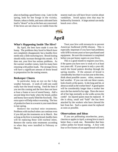plan on hauling a good honey crop. Later in the spring, look for bee forage in the vicinity. Pasture, tobacco fields, and most cultivated farm land is "desert" as far as the bees are concerned. If the hives are not close to or visible from the nearest road you will have fewer worries about vandalism. Avoid apiary sites that may be bothered by livestock. A large animal can easily knock over a hive.



#### **What's Happening Inside The Hive?**

By April, the bees have made it over the hump. The problems they faced in March have not completely disappeared, but a healthy hive needs only a little nurturing now. Brood rearing should really increase through this month. If it does not, your hive has serious problems. As the warmer weather comes, look for many bees returning with pollen loads. The stronger hives will have a significant amount of drone brood in preparation for the mating season.

#### **Beekeeper Chores**

In particular, keep an eye on the 5-day weather forecasts. A week of cold rain could really hurt the brood rearing. Feed the bees if you see this coming and the hive does not have at least a frame or two of stored honey. Add a second deep hive body when the brood, pollen and honey have nearly filled the first body. This extra space will help reduce swarming. The loss of productive bees in a swarm is your main threat in late spring.

Remove the tracheal mite treatments. Problems with tracheal mites can continue even if you did put the treatments on in March. But as long as the hive is rearing brood, healthy bees will be replacing those with tracheal mites. Remove the varroa mite treatments according to when they were installed in February or March.

Treat your hive with terramycin to prevent American foulbrood (AFB) disease. This is especially important if you have had problems with AFB in recent years or have purchased used equipment. Be sure this treatment is completed before you put honey supers on your hives.

This is a good month to requeen your hive, if the queen you have now is weak or is at least two years old. If your queen is only a year old, watch the brood pattern develop through the spring months. If the amount of brood is considerably less than it was last year at this time, think about possible causes : mites, nosema or bad weather. If you can rule out these causes, look closely at the queen. Is she long and fat, or about as small as the worker bees? A good queen will be considerably longer than a worker bee once she has started to lay eggs. Does she move all of her legs normally as she walks across the comb? An injured queen must be replaced. If she is shiny, small and "bald" she has been attacked by the workers who have chewed the hair from her. Such a queen must be replaced as soon as possible.

#### **Observations and Ideas**

If you are pollinating strawberries, pears, cherries or apples in April, a strong hive is much better than a weak one. Remember that bees collect pollen for brood rearing. A hive with four or five frames of uncapped brood will need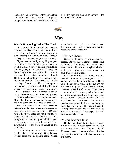(and collect) much more pollen than a weak hive with only one frame of brood. The pollen foragers are the ones that are best at transferring the pollen from one blossom to another — the essence of pollination.



# $M$ ay

#### **What's Happening Inside The Hive?**

In May and June you and the bees are rewarded, or disappointed, by how well you prepared for the honey flow. You may also be busy keeping up with your bees. Serious beekeepers do not take long vacations in May.

If your bees are healthy, everything happens this month. The hive is full of young bees, the weather is almost perfect, and honey plants are blooming everywhere. The queen is laying eggs day and night, often over 1000 daily. There are now enough bees to take care of all the brood. The hive is making honey very quickly, even several pounds daily. If the bees need to make wax they will do this quickly by building onto foundation in your frames or by filling in empty spaces with burr comb. Drone production increases greatly and many drones fly out on sunny afternoons in search of the mating areas.

Swarming becomes a very important factor. May is the ideal time for a colony to reproduce, and most colonies will produce "swarm cells", or queen cells that will mature in time for swarms to issue from the hive. There are three reasons to keep your bees from swarming : (1) Your hive will be weakened and the potential for honey production much less; (2) Your queen will be replaced by a daughter queen which may not be as good as the original; and (3) Your swarming bees can be a nuisance to the neighbors.

The possibility of tracheal mite and nosema problems is very low by now. Only the very weakest hives are still fighting them. Varroa mites should be at very low levels, but be aware that they are starting to increase now that the treatments are out of the hive.

#### **Beekeeper Chores**

Check your hives weekly and add supers as needed. Be sure there is plenty of space above the brood nest for honey. Frames with new foundation should go in. A strong hive will draw out the foundation into new comb in just a few days if the weather is good.

In a hive with two deep brood boxes, the bees will often move to the upper brood box, leaving the lower box relatively empty. This is an inefficient use of space in the hive and can lead to swarming. In May or June it is useful to "reverse" these brood boxes. This means removing all of the boxes, placing the second box on the bottom board where the first box had been, and placing the first box above it. This may break the brood cluster. So check the weather forecast and do this when at least two warm days are coming. The bees will need to rearrange their cluster, and less brood will be lost in the process if it is not exposed to cool weather much below 50°.

#### **Observations and Ideas**

Hold a honey frame horizontally and shake it over the hive. If nectar sprinkles out, your bees are on a honey flow. The nectar is still dilute and watery. With time, the bees will either consume it or continue to thicken and ripen it into honey.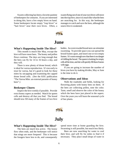Swarm collecting has been a favorite pastime of beekeepers for centuries. If you are interested in doing this, have a few empty hives on hand. Some beekeepers locate empty "trap hives" or "bait hives" near their own hives. Often, a swarm flying out of one of your own hives will move into the trap hive, since it is much like what the bees are searching for. In this way, the beekeeper manages to catch and save the bees, although the source hive is weakened.



# **June**

#### **What's Happening Inside The Hive?**

This month is much like May, except the hive will have more bees. The honey and pollen flows continue. The days are long enough that the bees can fly for 14 to 16 hours a day, and they will.

There is now plenty of drone brood, which is ideal for varroa reproduction. It's too early to treat for varroa, but it's good to look for these mites by uncapping and examining the capped drone brood cells. (See the KSU publication "The Varroa Mite: an external parasite of honey bees".)

#### **Beekeeper Chores**

Inspect the hive weekly if possible. Provide extra honey supers as needed. Watch for queen cells and destroy all that you find. The brood should now fill many of the frames of two hive

bodies. An overcrowded brood nest can stimulate swarming. To provide space you can spread the brood frames apart, and insert one or two empty frames. It's warm enough now that there is no danger of chilling the brood. The queen is looking for empty cells all the time, and she will quickly fill these frames with eggs.

If you are going to increase the number of hives you have by making divides, May or June is the time to do it.

#### **Observations and Ideas**

Walk the roadsides and fields, looking for flowering plants with honey bees on them. If the bees are collecting pollen, note the color. Taste, smell and observe the color of the honey which the bees have just placed in the supers. Over the years you will learn the seasonal cycle of bee plants.



# **July**

#### **What's Happening Inside The Hive?**

The bees are much less active. The honey flow often ends, and the beekeeper will notice that stings are more frequent! This is because the foragers have less to do, and consequently spend more time at home guarding the hive. Swarming is still possible, but much less likely.

Bees are now searching for water to cool their hive, and will fly for miles to find it if necessary. They place small drops of water in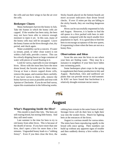the cells and use their wings to fan the air over the cells.

#### **Beekeeper Chores**

Many beekeepers harvest the honey in July. Take the frames in which the honey cells are capped. If the weather has been rainy, the bees may not have been able to remove enough moisture to ripen it yet. In this case, many of the honey cells may still be uncapped. Leave the honey frames on the hives through a hot, dry period, and check again.

Water availability can be a concern. If water (a stream, pond, or other clean water) is not within a half mile, provide a source. This can be a slowly dripping faucet or large container of water with pieces of wood floating in it.

Look for varroa, especially in your strongest hives. Hives with the most bees have the most drone brood, the favorite spot for these mites. Uncap at least a dozen capped drone cells, remove the pupae, and examine them carefully. If you have varroa in these cells, remove the honey harvest as soon as possible and treat with Apistan or Checkmite. If you do not find varroa, repeat this examination in the following weeks.

Sticky boards placed on the bottom boards are more accurate indicators than drone brood checks. If over 15 mites per day are falling to the sticky boards, they are reaching dangerous levels.

Hives can be successfully requeened in July and August. However, it is harder to find the old queen in a hive packed with bees in midsummer, compared with the much smaller hive population in April. It is a good idea to feed the bees to encourage acceptance of the new queen, if requeening is done when the bees are not on a honey flow.

#### **Observations and Ideas**

Scout the area near the hives to see where your bees are finding water. They may be a nuisance to neighbors if your bees have fallen into swimming pools.

Some beekeepers plant crops in the spring to supplement their honey production in July and August. Buckwheat, vitex and sunflower are plants that can provide nectar in mid-summer. At KSU we have found that buckwheat is a relatively drought-resistant nectar source.



# **August**

#### **What's Happening Inside the Hive?**

This month is much like July. The bees are still rearing brood, but storing little honey. And they still need water.

Late summer is the time for bees to try to rob honey from other hives. This is because of the dearth of nectar. If you have more than one hive, don't open a hive for more than a few minutes. Unguarded honey leads to a "robbing frenzy". Even if you then close the hive, the robbing bees remain in the same frame of mind. Stronger hives will do their best to fight their way into the weaker hives. Watch for fighting bees at the entrances of the hives.

August is a serious month for varroa mites. The mites have been reproducing rapidly in the brood cells since spring. Their numbers can build up without any apparent signs of trouble and then suddenly destroy a hive within a few weeks.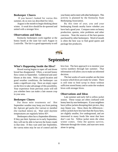#### **Beekeeper Chores**

 If you haven't looked for varroa this summer, do so now (as described for July).

August is the month to begin thinking about winter. A weak hive should be de-queened and united with a stronger hive.

#### **Observations and Ideas**

Kentucky beekeepers work together at the honey booth at the state fair each August in Louisville. The fair is a good opportunity to sell your honey and to meet with other beekeepers. This activity is planned by the Kentucky State Beekeeping Association.

By this time of year, you and your beekeeping friends nearby know whether you have had a good year. Compare notes on honey production, queens, mite problems and other concerns. Note the sources of the best queens purchased by other beekeepers. Word of mouth is often the best way to find good queen and package bee producers.



## **September**

#### **What's Happening Inside the Hive?**

Brood rearing begins to taper off and drone brood has disappeared. Often, a second honey flow comes in September. Goldenrod and aster bloom at this time. With a good location and good weather conditions, the beekeeper can make a significant crop. Have an empty super on the hive to take advantage of this possibility. Your experience from previous years will tell you whether bees can make a late season crop in your area.

#### **Beekeeper Chores**

Put those mite treatments on! Hot September weather may keep you from putting the Apicure gel packs (for varroa) or menthol (for tracheal mites) on. Wait until daytime temperatures are regularly below 85o.

Beekeepers often face a September dilemma. If they put their Apistan on in early September, they will not be able to harvest the honey made in that time. If they wait until late September, the varroa mites may be out of control and the hive lost. The best approach is to monitor your varroa numbers through late summer. That information will allow you to make an informed decision.

The last weeks of warm weather are the time to assess which hives are ready for winter. There is still time to feed syrup to those without sufficient stored honey and to unite the weakest hives with stronger hives.

#### **Observations and Ideas**

Late summer and early fall is yellow jacket season. These wasps are often confused with honey bees by non-beekeepers. If your neighbors have yellow jackets disrupting their picnics, they may blame you. Show them the differences : yellow jackets have less hair than the fuzzy bees, are slightly smaller, live underground, and are interested in many foods like meat that bees don't care for. Yellow jacket nests die when winter comes. Only the queens survive, hibernate through the winter, and start new nests alone in spring.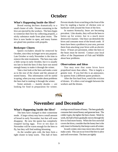### **October**

#### **What's Happening Inside the Hive?**

Brood rearing declines dramatically to a small cluster of cells. Drones remaining in the hive are ejected by the workers. The bees begin to winterize their hive by collecting propolis, a sticky substance made from plant resins. The hive is now harder to open, and many frames are glued into position with propolis.

#### **Beekeeper Chores**

Queen excluders should be removed by October, since they no longer serve any purpose. Late October or early November is the time to remove the mite treatments. The bees may take a little syrup in early October, but it is usually too late to feed the bees if they have not stored enough honey to make it through the winter.

Take a last look at the bees and make a note as to the size of the cluster and the amount of stored honey. This information will be useful in spring, when you may wonder about problems the bees had in making it through the winter.

Some animals — mainly skunks — are looking for food in preparation for winter. Prevent skunks from scratching at the front of the hive by stapling a barrier of chicken wire or hardware cloth around the front of the hive.

In eastern Kentucky, bears are becoming prevalent. Like skunks, they will eat the bees to fatten up for winter, but in a much more destructive manner. One bear can demolish the hives and consume most of the brood comb. If bears have been a problem in your area, prevent them from attacking your hives with an electric fence. If bears are persistent, either the bees or the bears must be moved. Contact your local office of the Department of Fish and Wildlife about bear problems.

#### **Observations and Ideas**

You may note that some hives have propolized more than others. This is largely a genetic trait. If you feel this is an annoyance, try queens from a different queen producer.

After the first hard frost, watch the eviction of drones. It's often a real struggle between the workers and the drones.



### **November and December**

#### **What's Happening Inside the Hive?**

The bees have changed to their wintertime mode. A large colony may have a small amount of brood in early November, but that will soon disappear. By now the queen has completely stopped laying eggs. Five or ten days in November will be warm enough for the bees to fly, but they will find nothing blooming.

As the weather gets cold, the bees form a tight cluster to keep warm. This ball of bees overlaps several frames of honey. The bees gradually consume their stored honey and generate heat. The colder it gets, the tighter the bees cluster. Week by week, the ball of bees gradually moves through the hive to find more honey. When the first snowfall covers the hives, consider that the honey bee is the only insect in Kentucky that keeps warm all winter.

In early winter, mice may move into a hive and make a nest. This can occur even if the hive is alive and well overwinter. The bees are tightly